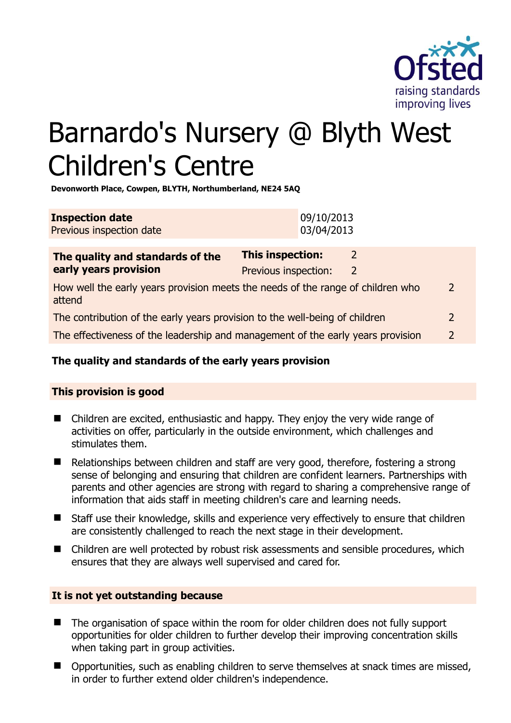

# Barnardo's Nursery @ Blyth West Children's Centre

**Devonworth Place, Cowpen, BLYTH, Northumberland, NE24 5AQ** 

| <b>Inspection date</b>   | 09/10/2013 |
|--------------------------|------------|
| Previous inspection date | 03/04/2013 |

| The quality and standards of the                                                          | <b>This inspection:</b> | $\mathcal{L}$ |               |
|-------------------------------------------------------------------------------------------|-------------------------|---------------|---------------|
| early years provision                                                                     | Previous inspection:    | 2             |               |
| How well the early years provision meets the needs of the range of children who<br>attend |                         |               | $\mathcal{L}$ |
| The contribution of the early years provision to the well-being of children               |                         |               | $\mathcal{L}$ |
| The effectiveness of the leadership and management of the early years provision           |                         |               |               |
|                                                                                           |                         |               |               |

# **The quality and standards of the early years provision**

# **This provision is good**

- Children are excited, enthusiastic and happy. They enjoy the very wide range of activities on offer, particularly in the outside environment, which challenges and stimulates them.
- Relationships between children and staff are very good, therefore, fostering a strong sense of belonging and ensuring that children are confident learners. Partnerships with parents and other agencies are strong with regard to sharing a comprehensive range of information that aids staff in meeting children's care and learning needs.
- Staff use their knowledge, skills and experience very effectively to ensure that children are consistently challenged to reach the next stage in their development.
- Children are well protected by robust risk assessments and sensible procedures, which ensures that they are always well supervised and cared for.

#### **It is not yet outstanding because**

- The organisation of space within the room for older children does not fully support opportunities for older children to further develop their improving concentration skills when taking part in group activities.
- Opportunities, such as enabling children to serve themselves at snack times are missed, in order to further extend older children's independence.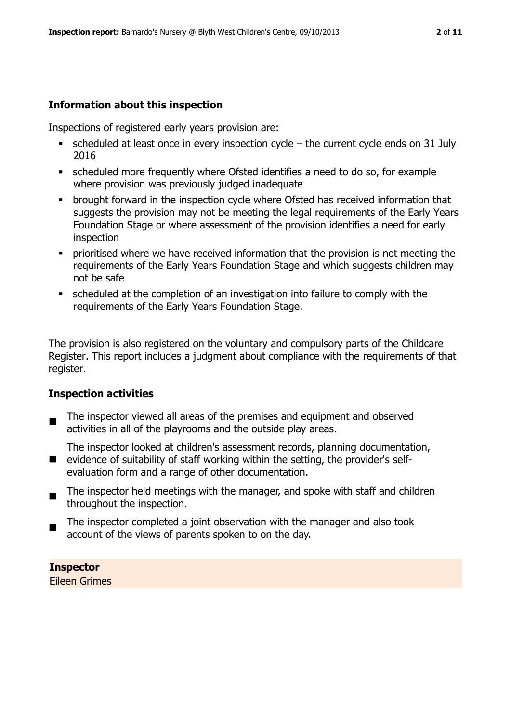# **Information about this inspection**

Inspections of registered early years provision are:

- $\bullet$  scheduled at least once in every inspection cycle the current cycle ends on 31 July 2016
- scheduled more frequently where Ofsted identifies a need to do so, for example where provision was previously judged inadequate
- **•** brought forward in the inspection cycle where Ofsted has received information that suggests the provision may not be meeting the legal requirements of the Early Years Foundation Stage or where assessment of the provision identifies a need for early inspection
- **Prioritised where we have received information that the provision is not meeting the** requirements of the Early Years Foundation Stage and which suggests children may not be safe
- scheduled at the completion of an investigation into failure to comply with the requirements of the Early Years Foundation Stage.

The provision is also registered on the voluntary and compulsory parts of the Childcare Register. This report includes a judgment about compliance with the requirements of that register.

# **Inspection activities**

 $\blacksquare$ The inspector viewed all areas of the premises and equipment and observed activities in all of the playrooms and the outside play areas.

**E** evidence of suitability of staff working within the setting, the provider's self-The inspector looked at children's assessment records, planning documentation, evaluation form and a range of other documentation.

- $\blacksquare$ The inspector held meetings with the manager, and spoke with staff and children throughout the inspection.
- The inspector completed a joint observation with the manager and also took account of the views of parents spoken to on the day.

**Inspector**  Eileen Grimes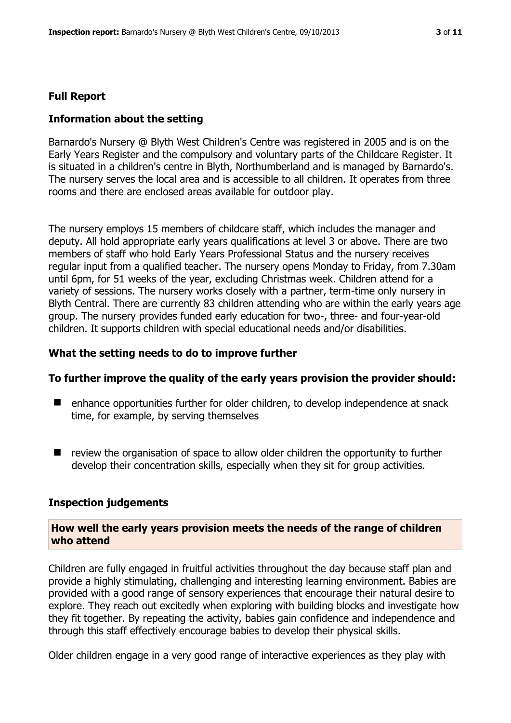#### **Full Report**

#### **Information about the setting**

Barnardo's Nursery @ Blyth West Children's Centre was registered in 2005 and is on the Early Years Register and the compulsory and voluntary parts of the Childcare Register. It is situated in a children's centre in Blyth, Northumberland and is managed by Barnardo's. The nursery serves the local area and is accessible to all children. It operates from three rooms and there are enclosed areas available for outdoor play.

The nursery employs 15 members of childcare staff, which includes the manager and deputy. All hold appropriate early years qualifications at level 3 or above. There are two members of staff who hold Early Years Professional Status and the nursery receives regular input from a qualified teacher. The nursery opens Monday to Friday, from 7.30am until 6pm, for 51 weeks of the year, excluding Christmas week. Children attend for a variety of sessions. The nursery works closely with a partner, term-time only nursery in Blyth Central. There are currently 83 children attending who are within the early years age group. The nursery provides funded early education for two-, three- and four-year-old children. It supports children with special educational needs and/or disabilities.

#### **What the setting needs to do to improve further**

#### **To further improve the quality of the early years provision the provider should:**

- enhance opportunities further for older children, to develop independence at snack time, for example, by serving themselves
- $\blacksquare$  review the organisation of space to allow older children the opportunity to further develop their concentration skills, especially when they sit for group activities.

#### **Inspection judgements**

#### **How well the early years provision meets the needs of the range of children who attend**

Children are fully engaged in fruitful activities throughout the day because staff plan and provide a highly stimulating, challenging and interesting learning environment. Babies are provided with a good range of sensory experiences that encourage their natural desire to explore. They reach out excitedly when exploring with building blocks and investigate how they fit together. By repeating the activity, babies gain confidence and independence and through this staff effectively encourage babies to develop their physical skills.

Older children engage in a very good range of interactive experiences as they play with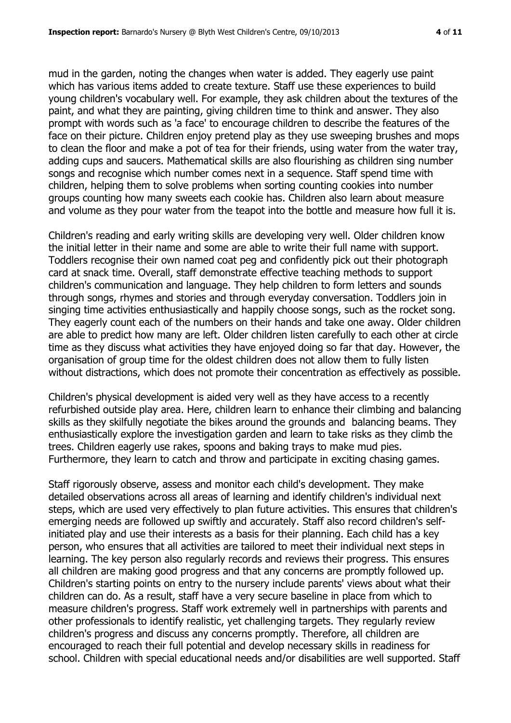mud in the garden, noting the changes when water is added. They eagerly use paint which has various items added to create texture. Staff use these experiences to build young children's vocabulary well. For example, they ask children about the textures of the paint, and what they are painting, giving children time to think and answer. They also prompt with words such as 'a face' to encourage children to describe the features of the face on their picture. Children enjoy pretend play as they use sweeping brushes and mops to clean the floor and make a pot of tea for their friends, using water from the water tray, adding cups and saucers. Mathematical skills are also flourishing as children sing number songs and recognise which number comes next in a sequence. Staff spend time with children, helping them to solve problems when sorting counting cookies into number groups counting how many sweets each cookie has. Children also learn about measure and volume as they pour water from the teapot into the bottle and measure how full it is.

Children's reading and early writing skills are developing very well. Older children know the initial letter in their name and some are able to write their full name with support. Toddlers recognise their own named coat peg and confidently pick out their photograph card at snack time. Overall, staff demonstrate effective teaching methods to support children's communication and language. They help children to form letters and sounds through songs, rhymes and stories and through everyday conversation. Toddlers join in singing time activities enthusiastically and happily choose songs, such as the rocket song. They eagerly count each of the numbers on their hands and take one away. Older children are able to predict how many are left. Older children listen carefully to each other at circle time as they discuss what activities they have enjoyed doing so far that day. However, the organisation of group time for the oldest children does not allow them to fully listen without distractions, which does not promote their concentration as effectively as possible.

Children's physical development is aided very well as they have access to a recently refurbished outside play area. Here, children learn to enhance their climbing and balancing skills as they skilfully negotiate the bikes around the grounds and balancing beams. They enthusiastically explore the investigation garden and learn to take risks as they climb the trees. Children eagerly use rakes, spoons and baking trays to make mud pies. Furthermore, they learn to catch and throw and participate in exciting chasing games.

Staff rigorously observe, assess and monitor each child's development. They make detailed observations across all areas of learning and identify children's individual next steps, which are used very effectively to plan future activities. This ensures that children's emerging needs are followed up swiftly and accurately. Staff also record children's selfinitiated play and use their interests as a basis for their planning. Each child has a key person, who ensures that all activities are tailored to meet their individual next steps in learning. The key person also regularly records and reviews their progress. This ensures all children are making good progress and that any concerns are promptly followed up. Children's starting points on entry to the nursery include parents' views about what their children can do. As a result, staff have a very secure baseline in place from which to measure children's progress. Staff work extremely well in partnerships with parents and other professionals to identify realistic, yet challenging targets. They regularly review children's progress and discuss any concerns promptly. Therefore, all children are encouraged to reach their full potential and develop necessary skills in readiness for school. Children with special educational needs and/or disabilities are well supported. Staff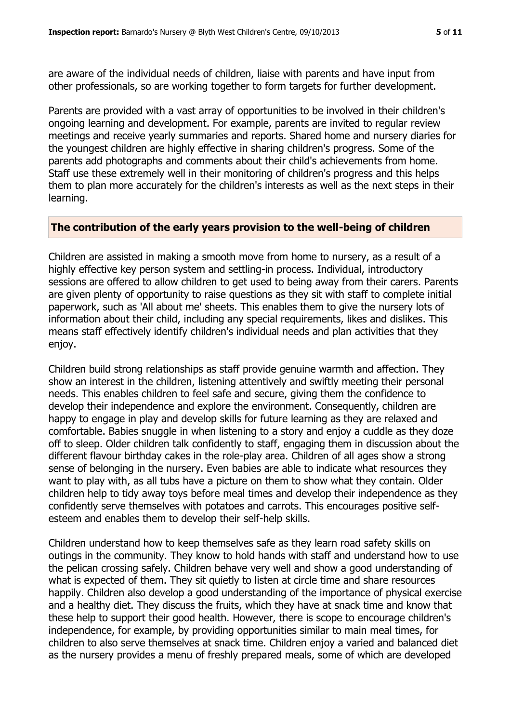are aware of the individual needs of children, liaise with parents and have input from other professionals, so are working together to form targets for further development.

Parents are provided with a vast array of opportunities to be involved in their children's ongoing learning and development. For example, parents are invited to regular review meetings and receive yearly summaries and reports. Shared home and nursery diaries for the youngest children are highly effective in sharing children's progress. Some of the parents add photographs and comments about their child's achievements from home. Staff use these extremely well in their monitoring of children's progress and this helps them to plan more accurately for the children's interests as well as the next steps in their learning.

#### **The contribution of the early years provision to the well-being of children**

Children are assisted in making a smooth move from home to nursery, as a result of a highly effective key person system and settling-in process. Individual, introductory sessions are offered to allow children to get used to being away from their carers. Parents are given plenty of opportunity to raise questions as they sit with staff to complete initial paperwork, such as 'All about me' sheets. This enables them to give the nursery lots of information about their child, including any special requirements, likes and dislikes. This means staff effectively identify children's individual needs and plan activities that they enjoy.

Children build strong relationships as staff provide genuine warmth and affection. They show an interest in the children, listening attentively and swiftly meeting their personal needs. This enables children to feel safe and secure, giving them the confidence to develop their independence and explore the environment. Consequently, children are happy to engage in play and develop skills for future learning as they are relaxed and comfortable. Babies snuggle in when listening to a story and enjoy a cuddle as they doze off to sleep. Older children talk confidently to staff, engaging them in discussion about the different flavour birthday cakes in the role-play area. Children of all ages show a strong sense of belonging in the nursery. Even babies are able to indicate what resources they want to play with, as all tubs have a picture on them to show what they contain. Older children help to tidy away toys before meal times and develop their independence as they confidently serve themselves with potatoes and carrots. This encourages positive selfesteem and enables them to develop their self-help skills.

Children understand how to keep themselves safe as they learn road safety skills on outings in the community. They know to hold hands with staff and understand how to use the pelican crossing safely. Children behave very well and show a good understanding of what is expected of them. They sit quietly to listen at circle time and share resources happily. Children also develop a good understanding of the importance of physical exercise and a healthy diet. They discuss the fruits, which they have at snack time and know that these help to support their good health. However, there is scope to encourage children's independence, for example, by providing opportunities similar to main meal times, for children to also serve themselves at snack time. Children enjoy a varied and balanced diet as the nursery provides a menu of freshly prepared meals, some of which are developed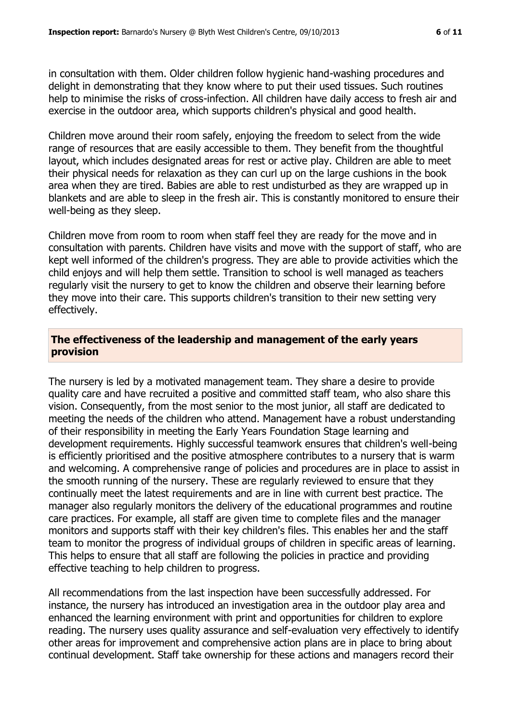in consultation with them. Older children follow hygienic hand-washing procedures and delight in demonstrating that they know where to put their used tissues. Such routines help to minimise the risks of cross-infection. All children have daily access to fresh air and exercise in the outdoor area, which supports children's physical and good health.

Children move around their room safely, enjoying the freedom to select from the wide range of resources that are easily accessible to them. They benefit from the thoughtful layout, which includes designated areas for rest or active play. Children are able to meet their physical needs for relaxation as they can curl up on the large cushions in the book area when they are tired. Babies are able to rest undisturbed as they are wrapped up in blankets and are able to sleep in the fresh air. This is constantly monitored to ensure their well-being as they sleep.

Children move from room to room when staff feel they are ready for the move and in consultation with parents. Children have visits and move with the support of staff, who are kept well informed of the children's progress. They are able to provide activities which the child enjoys and will help them settle. Transition to school is well managed as teachers regularly visit the nursery to get to know the children and observe their learning before they move into their care. This supports children's transition to their new setting very effectively.

### **The effectiveness of the leadership and management of the early years provision**

The nursery is led by a motivated management team. They share a desire to provide quality care and have recruited a positive and committed staff team, who also share this vision. Consequently, from the most senior to the most junior, all staff are dedicated to meeting the needs of the children who attend. Management have a robust understanding of their responsibility in meeting the Early Years Foundation Stage learning and development requirements. Highly successful teamwork ensures that children's well-being is efficiently prioritised and the positive atmosphere contributes to a nursery that is warm and welcoming. A comprehensive range of policies and procedures are in place to assist in the smooth running of the nursery. These are regularly reviewed to ensure that they continually meet the latest requirements and are in line with current best practice. The manager also regularly monitors the delivery of the educational programmes and routine care practices. For example, all staff are given time to complete files and the manager monitors and supports staff with their key children's files. This enables her and the staff team to monitor the progress of individual groups of children in specific areas of learning. This helps to ensure that all staff are following the policies in practice and providing effective teaching to help children to progress.

All recommendations from the last inspection have been successfully addressed. For instance, the nursery has introduced an investigation area in the outdoor play area and enhanced the learning environment with print and opportunities for children to explore reading. The nursery uses quality assurance and self-evaluation very effectively to identify other areas for improvement and comprehensive action plans are in place to bring about continual development. Staff take ownership for these actions and managers record their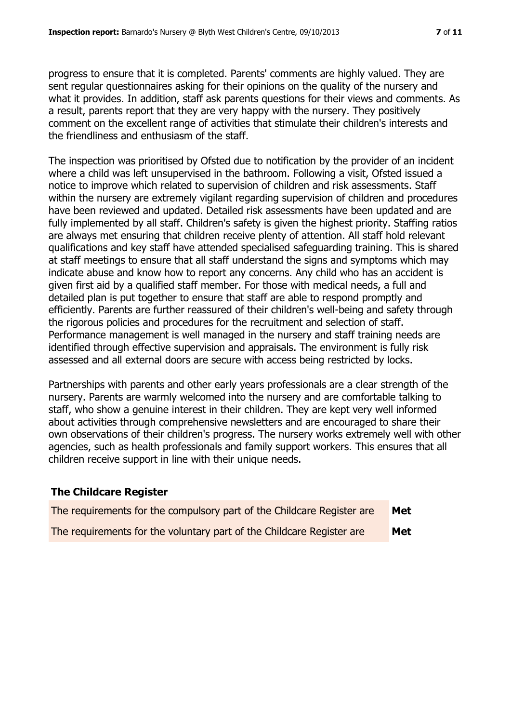progress to ensure that it is completed. Parents' comments are highly valued. They are sent regular questionnaires asking for their opinions on the quality of the nursery and what it provides. In addition, staff ask parents questions for their views and comments. As a result, parents report that they are very happy with the nursery. They positively comment on the excellent range of activities that stimulate their children's interests and the friendliness and enthusiasm of the staff.

The inspection was prioritised by Ofsted due to notification by the provider of an incident where a child was left unsupervised in the bathroom. Following a visit, Ofsted issued a notice to improve which related to supervision of children and risk assessments. Staff within the nursery are extremely vigilant regarding supervision of children and procedures have been reviewed and updated. Detailed risk assessments have been updated and are fully implemented by all staff. Children's safety is given the highest priority. Staffing ratios are always met ensuring that children receive plenty of attention. All staff hold relevant qualifications and key staff have attended specialised safeguarding training. This is shared at staff meetings to ensure that all staff understand the signs and symptoms which may indicate abuse and know how to report any concerns. Any child who has an accident is given first aid by a qualified staff member. For those with medical needs, a full and detailed plan is put together to ensure that staff are able to respond promptly and efficiently. Parents are further reassured of their children's well-being and safety through the rigorous policies and procedures for the recruitment and selection of staff. Performance management is well managed in the nursery and staff training needs are identified through effective supervision and appraisals. The environment is fully risk assessed and all external doors are secure with access being restricted by locks.

Partnerships with parents and other early years professionals are a clear strength of the nursery. Parents are warmly welcomed into the nursery and are comfortable talking to staff, who show a genuine interest in their children. They are kept very well informed about activities through comprehensive newsletters and are encouraged to share their own observations of their children's progress. The nursery works extremely well with other agencies, such as health professionals and family support workers. This ensures that all children receive support in line with their unique needs.

# **The Childcare Register**

| The requirements for the compulsory part of the Childcare Register are | <b>Met</b> |
|------------------------------------------------------------------------|------------|
| The requirements for the voluntary part of the Childcare Register are  | <b>Met</b> |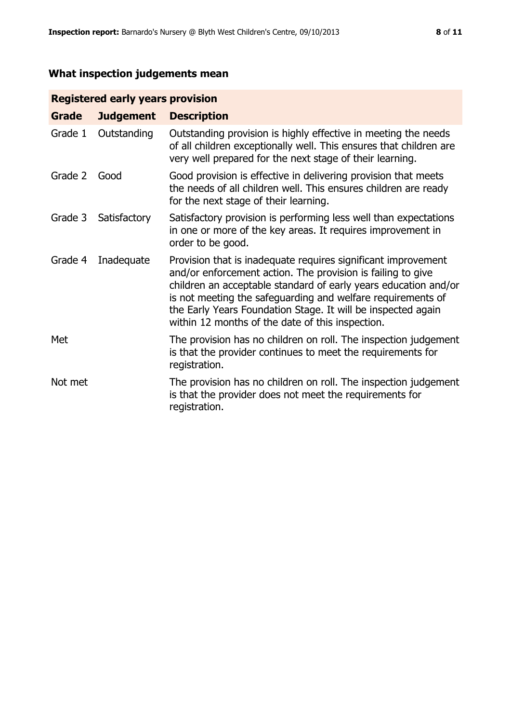# **What inspection judgements mean**

# **Registered early years provision**

| Grade   | <b>Judgement</b> | <b>Description</b>                                                                                                                                                                                                                                                                                                                                                                 |
|---------|------------------|------------------------------------------------------------------------------------------------------------------------------------------------------------------------------------------------------------------------------------------------------------------------------------------------------------------------------------------------------------------------------------|
| Grade 1 | Outstanding      | Outstanding provision is highly effective in meeting the needs<br>of all children exceptionally well. This ensures that children are<br>very well prepared for the next stage of their learning.                                                                                                                                                                                   |
| Grade 2 | Good             | Good provision is effective in delivering provision that meets<br>the needs of all children well. This ensures children are ready<br>for the next stage of their learning.                                                                                                                                                                                                         |
| Grade 3 | Satisfactory     | Satisfactory provision is performing less well than expectations<br>in one or more of the key areas. It requires improvement in<br>order to be good.                                                                                                                                                                                                                               |
| Grade 4 | Inadequate       | Provision that is inadequate requires significant improvement<br>and/or enforcement action. The provision is failing to give<br>children an acceptable standard of early years education and/or<br>is not meeting the safeguarding and welfare requirements of<br>the Early Years Foundation Stage. It will be inspected again<br>within 12 months of the date of this inspection. |
| Met     |                  | The provision has no children on roll. The inspection judgement<br>is that the provider continues to meet the requirements for<br>registration.                                                                                                                                                                                                                                    |
| Not met |                  | The provision has no children on roll. The inspection judgement<br>is that the provider does not meet the requirements for<br>registration.                                                                                                                                                                                                                                        |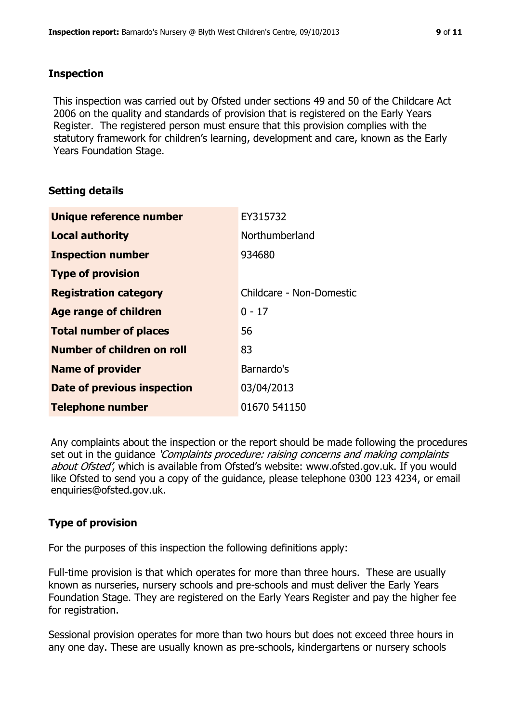#### **Inspection**

This inspection was carried out by Ofsted under sections 49 and 50 of the Childcare Act 2006 on the quality and standards of provision that is registered on the Early Years Register. The registered person must ensure that this provision complies with the statutory framework for children's learning, development and care, known as the Early Years Foundation Stage.

# **Setting details**

| Unique reference number       | EY315732                 |
|-------------------------------|--------------------------|
| <b>Local authority</b>        | Northumberland           |
| <b>Inspection number</b>      | 934680                   |
| <b>Type of provision</b>      |                          |
| <b>Registration category</b>  | Childcare - Non-Domestic |
| Age range of children         | $0 - 17$                 |
| <b>Total number of places</b> | 56                       |
| Number of children on roll    | 83                       |
| <b>Name of provider</b>       | Barnardo's               |
| Date of previous inspection   | 03/04/2013               |
| <b>Telephone number</b>       | 01670 541150             |

Any complaints about the inspection or the report should be made following the procedures set out in the guidance *'Complaints procedure: raising concerns and making complaints* about Ofsted', which is available from Ofsted's website: www.ofsted.gov.uk. If you would like Ofsted to send you a copy of the guidance, please telephone 0300 123 4234, or email enquiries@ofsted.gov.uk.

# **Type of provision**

For the purposes of this inspection the following definitions apply:

Full-time provision is that which operates for more than three hours. These are usually known as nurseries, nursery schools and pre-schools and must deliver the Early Years Foundation Stage. They are registered on the Early Years Register and pay the higher fee for registration.

Sessional provision operates for more than two hours but does not exceed three hours in any one day. These are usually known as pre-schools, kindergartens or nursery schools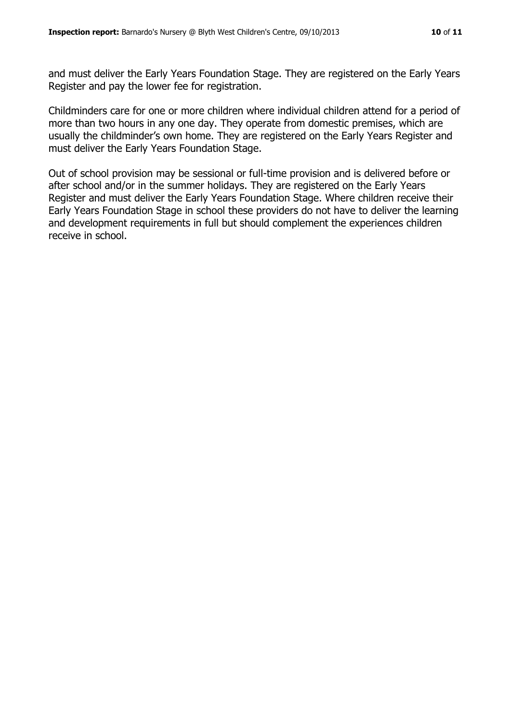and must deliver the Early Years Foundation Stage. They are registered on the Early Years Register and pay the lower fee for registration.

Childminders care for one or more children where individual children attend for a period of more than two hours in any one day. They operate from domestic premises, which are usually the childminder's own home. They are registered on the Early Years Register and must deliver the Early Years Foundation Stage.

Out of school provision may be sessional or full-time provision and is delivered before or after school and/or in the summer holidays. They are registered on the Early Years Register and must deliver the Early Years Foundation Stage. Where children receive their Early Years Foundation Stage in school these providers do not have to deliver the learning and development requirements in full but should complement the experiences children receive in school.